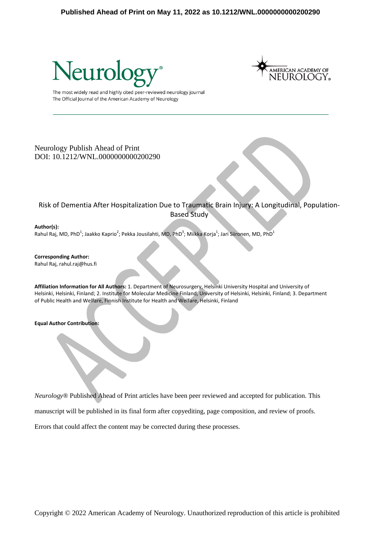



The most widely read and highly cited peer-reviewed neurology journal The Official Journal of the American Academy of Neurology

### Neurology Publish Ahead of Print DOI: 10.1212/WNL.0000000000200290

Risk of Dementia After Hospitalization Due to Traumatic Brain Injury: A Longitudinal, Population-Based Study

### **Author(s):**

Rahul Raj, MD, PhD<sup>1</sup>; Jaakko Kaprio<sup>2</sup>; Pekka Jousilahti, MD, PhD<sup>3</sup>; Miikka Korja<sup>1</sup>; Jari Siironen, MD, PhD<sup>1</sup>

**Corresponding Author:** Rahul Raj, rahul.raj@hus.fi

**Affiliation Information for All Authors:** 1. Department of Neurosurgery, Helsinki University Hospital and University of Helsinki, Helsinki, Finland; 2. Institute for Molecular Medicine Finland, University of Helsinki, Helsinki, Finland; 3. Department of Public Health and Welfare, Finnish Institute for Health and Welfare, Helsinki, Finland

**Equal Author Contribution:**

*Neurology*® Published Ahead of Print articles have been peer reviewed and accepted for publication. This

manuscript will be published in its final form after copyediting, page composition, and review of proofs.

Errors that could affect the content may be corrected during these processes.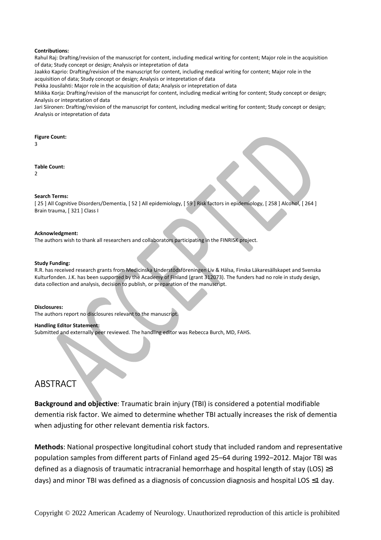#### **Contributions:**

Rahul Raj: Drafting/revision of the manuscript for content, including medical writing for content; Major role in the acquisition of data; Study concept or design; Analysis or intepretation of data

Jaakko Kaprio: Drafting/revision of the manuscript for content, including medical writing for content; Major role in the acquisition of data; Study concept or design; Analysis or intepretation of data

Pekka Jousilahti: Major role in the acquisition of data; Analysis or intepretation of data

Miikka Korja: Drafting/revision of the manuscript for content, including medical writing for content; Study concept or design; Analysis or intepretation of data

Jari Siironen: Drafting/revision of the manuscript for content, including medical writing for content; Study concept or design; Analysis or intepretation of data

#### **Figure Count:**

3

#### **Table Count:**

 $\overline{2}$ 

#### **Search Terms:**

[ 25 ] All Cognitive Disorders/Dementia, [ 52 ] All epidemiology, [ 59 ] Risk factors in epidemiology, [ 258 ] Alcohol, [ 264 ] Brain trauma, [ 321 ] Class I

#### **Acknowledgment:**

The authors wish to thank all researchers and collaborators participating in the FINRISK project.

#### **Study Funding:**

R.R. has received research grants from Medicinska Understödsföreningen Liv & Hälsa, Finska Läkaresällskapet and Svenska Kulturfonden. J.K. has been supported by the Academy of Finland (grant 312073). The funders had no role in study design, data collection and analysis, decision to publish, or preparation of the manuscript.

#### **Disclosures:**

The authors report no disclosures relevant to the manuscript.

#### **Handling Editor Statement:**

Submitted and externally peer reviewed. The handling editor was Rebecca Burch, MD, FAHS.

# ABSTRACT

**Background and objective**: Traumatic brain injury (TBI) is considered a potential modifiable dementia risk factor. We aimed to determine whether TBI actually increases the risk of dementia when adjusting for other relevant dementia risk factors.

**Methods**: National prospective longitudinal cohort study that included random and representative population samples from different parts of Finland aged 25–64 during 1992–2012. Major TBI was defined as a diagnosis of traumatic intracranial hemorrhage and hospital length of stay (LOS)  $\geq$ 3 days) and minor TBI was defined as a diagnosis of concussion diagnosis and hospital LOS ≤1 day.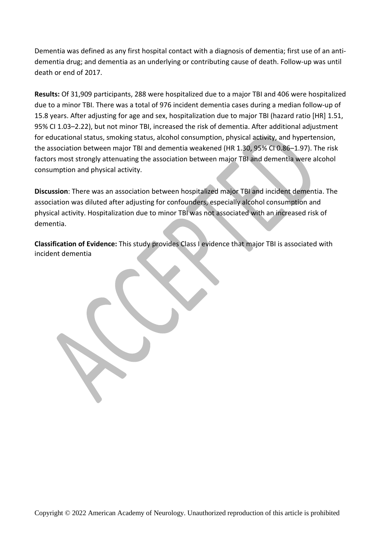Dementia was defined as any first hospital contact with a diagnosis of dementia; first use of an antidementia drug; and dementia as an underlying or contributing cause of death. Follow-up was until death or end of 2017.

**Results:** Of 31,909 participants, 288 were hospitalized due to a major TBI and 406 were hospitalized due to a minor TBI. There was a total of 976 incident dementia cases during a median follow-up of 15.8 years. After adjusting for age and sex, hospitalization due to major TBI (hazard ratio [HR] 1.51, 95% CI 1.03–2.22), but not minor TBI, increased the risk of dementia. After additional adjustment for educational status, smoking status, alcohol consumption, physical activity, and hypertension, the association between major TBI and dementia weakened (HR 1.30, 95% CI 0.86–1.97). The risk factors most strongly attenuating the association between major TBI and dementia were alcohol consumption and physical activity.

**Discussion**: There was an association between hospitalized major TBI and incident dementia. The association was diluted after adjusting for confounders, especially alcohol consumption and physical activity. Hospitalization due to minor TBI was not associated with an increased risk of dementia.

**Classification of Evidence:** This study provides Class I evidence that major TBI is associated with incident dementia

L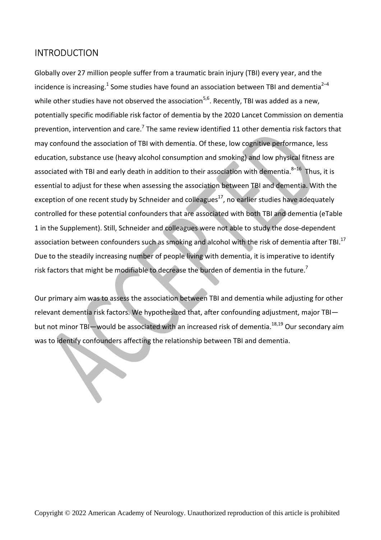# INTRODUCTION

Globally over 27 million people suffer from a traumatic brain injury (TBI) every year, and the incidence is increasing.<sup>1</sup> Some studies have found an association between TBI and dementia<sup>2–4</sup> while other studies have not observed the association<sup>5,6</sup>. Recently, TBI was added as a new, potentially specific modifiable risk factor of dementia by the 2020 Lancet Commission on dementia prevention, intervention and care.<sup>7</sup> The same review identified 11 other dementia risk factors that may confound the association of TBI with dementia. Of these, low cognitive performance, less education, substance use (heavy alcohol consumption and smoking) and low physical fitness are associated with TBI and early death in addition to their association with dementia.<sup>8–16</sup> Thus, it is essential to adjust for these when assessing the association between TBI and dementia. With the exception of one recent study by Schneider and colleagues<sup>17</sup>, no earlier studies have adequately controlled for these potential confounders that are associated with both TBI and dementia (eTable 1 in the Supplement). Still, Schneider and colleagues were not able to study the dose-dependent association between confounders such as smoking and alcohol with the risk of dementia after TBI.<sup>17</sup> Due to the steadily increasing number of people living with dementia, it is imperative to identify risk factors that might be modifiable to decrease the burden of dementia in the future.<sup>7</sup>

Our primary aim was to assess the association between TBI and dementia while adjusting for other relevant dementia risk factors. We hypothesized that, after confounding adjustment, major TBI but not minor TBI—would be associated with an increased risk of dementia.<sup>18,19</sup> Our secondary aim was to identify confounders affecting the relationship between TBI and dementia.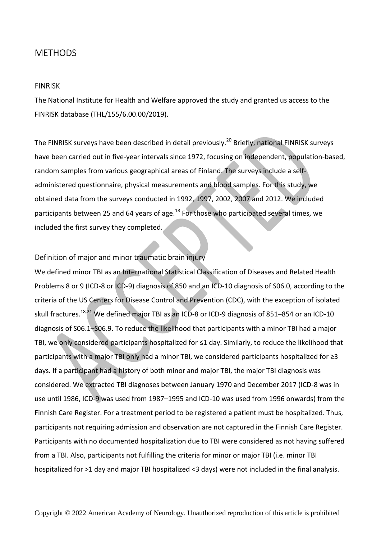# **METHODS**

### **FINRISK**

The National Institute for Health and Welfare approved the study and granted us access to the FINRISK database (THL/155/6.00.00/2019).

The FINRISK surveys have been described in detail previously.<sup>20</sup> Briefly, national FINRISK surveys have been carried out in five-year intervals since 1972, focusing on independent, population-based, random samples from various geographical areas of Finland. The surveys include a selfadministered questionnaire, physical measurements and blood samples. For this study, we obtained data from the surveys conducted in 1992, 1997, 2002, 2007 and 2012. We included participants between 25 and 64 years of age. $^{18}$  For those who participated several times, we included the first survey they completed.

## Definition of major and minor traumatic brain injury

We defined minor TBI as an International Statistical Classification of Diseases and Related Health Problems 8 or 9 (ICD-8 or ICD-9) diagnosis of 850 and an ICD-10 diagnosis of S06.0, according to the criteria of the US Centers for Disease Control and Prevention (CDC), with the exception of isolated skull fractures.<sup>18,21</sup> We defined major TBI as an ICD-8 or ICD-9 diagnosis of 851–854 or an ICD-10 diagnosis of S06.1–S06.9. To reduce the likelihood that participants with a minor TBI had a major TBI, we only considered participants hospitalized for ≤1 day. Similarly, to reduce the likelihood that participants with a major TBI only had a minor TBI, we considered participants hospitalized for ≥3 days. If a participant had a history of both minor and major TBI, the major TBI diagnosis was considered. We extracted TBI diagnoses between January 1970 and December 2017 (ICD-8 was in use until 1986, ICD-9 was used from 1987–1995 and ICD-10 was used from 1996 onwards) from the Finnish Care Register. For a treatment period to be registered a patient must be hospitalized. Thus, participants not requiring admission and observation are not captured in the Finnish Care Register. Participants with no documented hospitalization due to TBI were considered as not having suffered from a TBI. Also, participants not fulfilling the criteria for minor or major TBI (i.e. minor TBI hospitalized for >1 day and major TBI hospitalized <3 days) were not included in the final analysis.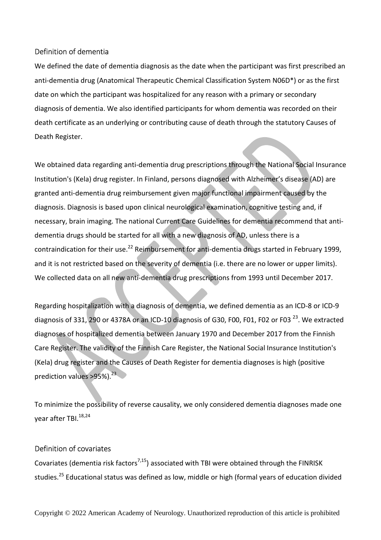## Definition of dementia

We defined the date of dementia diagnosis as the date when the participant was first prescribed an anti-dementia drug (Anatomical Therapeutic Chemical Classification System N06D\*) or as the first date on which the participant was hospitalized for any reason with a primary or secondary diagnosis of dementia. We also identified participants for whom dementia was recorded on their death certificate as an underlying or contributing cause of death through the statutory Causes of Death Register.

We obtained data regarding anti-dementia drug prescriptions through the National Social Insurance Institution's (Kela) drug register. In Finland, persons diagnosed with Alzheimer's disease (AD) are granted anti-dementia drug reimbursement given major functional impairment caused by the diagnosis. Diagnosis is based upon clinical neurological examination, cognitive testing and, if necessary, brain imaging. The national Current Care Guidelines for dementia recommend that antidementia drugs should be started for all with a new diagnosis of AD, unless there is a contraindication for their use.<sup>22</sup> Reimbursement for anti-dementia drugs started in February 1999, and it is not restricted based on the severity of dementia (i.e. there are no lower or upper limits). We collected data on all new anti-dementia drug prescriptions from 1993 until December 2017.

Regarding hospitalization with a diagnosis of dementia, we defined dementia as an ICD-8 or ICD-9 diagnosis of 331, 290 or 4378A or an ICD-10 diagnosis of G30, F00, F01, F02 or F03 <sup>23</sup>. We extracted diagnoses of hospitalized dementia between January 1970 and December 2017 from the Finnish Care Register. The validity of the Finnish Care Register, the National Social Insurance Institution's (Kela) drug register and the Causes of Death Register for dementia diagnoses is high (positive prediction values >95%). $^{23}$ 

To minimize the possibility of reverse causality, we only considered dementia diagnoses made one year after TBI.<sup>18,24</sup>

## Definition of covariates

Covariates (dementia risk factors<sup>7,15</sup>) associated with TBI were obtained through the FINRISK studies.<sup>25</sup> Educational status was defined as low, middle or high (formal years of education divided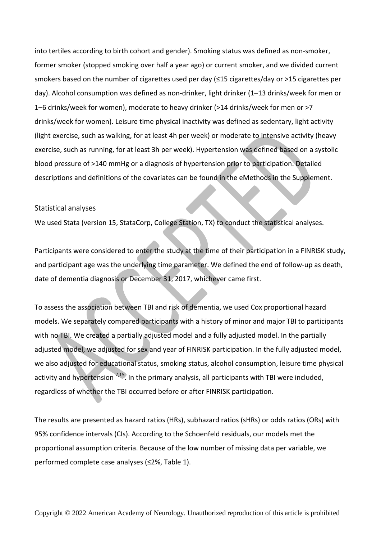into tertiles according to birth cohort and gender). Smoking status was defined as non-smoker, former smoker (stopped smoking over half a year ago) or current smoker, and we divided current smokers based on the number of cigarettes used per day (≤15 cigarettes/day or >15 cigarettes per day). Alcohol consumption was defined as non-drinker, light drinker (1–13 drinks/week for men or 1–6 drinks/week for women), moderate to heavy drinker (>14 drinks/week for men or >7 drinks/week for women). Leisure time physical inactivity was defined as sedentary, light activity (light exercise, such as walking, for at least 4h per week) or moderate to intensive activity (heavy exercise, such as running, for at least 3h per week). Hypertension was defined based on a systolic blood pressure of >140 mmHg or a diagnosis of hypertension prior to participation. Detailed descriptions and definitions of the covariates can be found in the eMethods in the Supplement.

### Statistical analyses

We used Stata (version 15, StataCorp, College Station, TX) to conduct the statistical analyses.

Participants were considered to enter the study at the time of their participation in a FINRISK study, and participant age was the underlying time parameter. We defined the end of follow-up as death, date of dementia diagnosis or December 31, 2017, whichever came first.

To assess the association between TBI and risk of dementia, we used Cox proportional hazard models. We separately compared participants with a history of minor and major TBI to participants with no TBI. We created a partially adjusted model and a fully adjusted model. In the partially adjusted model, we adjusted for sex and year of FINRISK participation. In the fully adjusted model, we also adjusted for educational status, smoking status, alcohol consumption, leisure time physical activity and hypertension  $7,15$ . In the primary analysis, all participants with TBI were included, regardless of whether the TBI occurred before or after FINRISK participation.

The results are presented as hazard ratios (HRs), subhazard ratios (sHRs) or odds ratios (ORs) with 95% confidence intervals (CIs). According to the Schoenfeld residuals, our models met the proportional assumption criteria. Because of the low number of missing data per variable, we performed complete case analyses (≤2%, Table 1).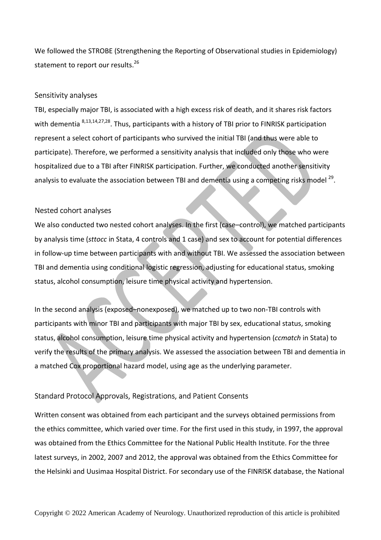We followed the STROBE (Strengthening the Reporting of Observational studies in Epidemiology) statement to report our results.<sup>26</sup>

## Sensitivity analyses

TBI, especially major TBI, is associated with a high excess risk of death, and it shares risk factors with dementia <sup>8,13,14,27,28</sup>. Thus, participants with a history of TBI prior to FINRISK participation represent a select cohort of participants who survived the initial TBI (and thus were able to participate). Therefore, we performed a sensitivity analysis that included only those who were hospitalized due to a TBI after FINRISK participation. Further, we conducted another sensitivity analysis to evaluate the association between TBI and dementia using a competing risks model  $^{29}$ .

## Nested cohort analyses

We also conducted two nested cohort analyses. In the first (case–control), we matched participants by analysis time (*sttocc* in Stata, 4 controls and 1 case) and sex to account for potential differences in follow-up time between participants with and without TBI. We assessed the association between TBI and dementia using conditional logistic regression, adjusting for educational status, smoking status, alcohol consumption, leisure time physical activity and hypertension.

In the second analysis (exposed–nonexposed), we matched up to two non-TBI controls with participants with minor TBI and participants with major TBI by sex, educational status, smoking status, alcohol consumption, leisure time physical activity and hypertension (*ccmatch* in Stata) to verify the results of the primary analysis. We assessed the association between TBI and dementia in a matched Cox proportional hazard model, using age as the underlying parameter.

# Standard Protocol Approvals, Registrations, and Patient Consents

Written consent was obtained from each participant and the surveys obtained permissions from the ethics committee, which varied over time. For the first used in this study, in 1997, the approval was obtained from the Ethics Committee for the National Public Health Institute. For the three latest surveys, in 2002, 2007 and 2012, the approval was obtained from the Ethics Committee for the Helsinki and Uusimaa Hospital District. For secondary use of the FINRISK database, the National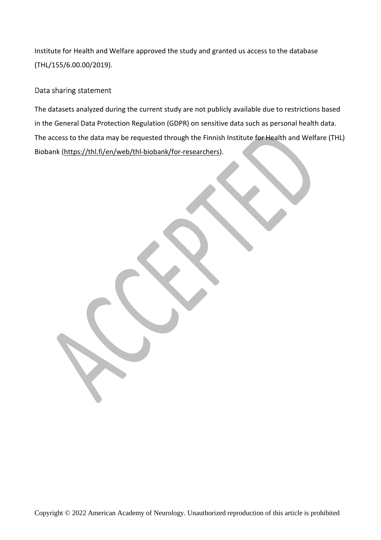Institute for Health and Welfare approved the study and granted us access to the database (THL/155/6.00.00/2019).

# Data sharing statement

The datasets analyzed during the current study are not publicly available due to restrictions based in the General Data Protection Regulation (GDPR) on sensitive data such as personal health data. The access to the data may be requested through the Finnish Institute for Health and Welfare (THL) Biobank (https://thl.fi/en/web/thl-biobank/for-researchers).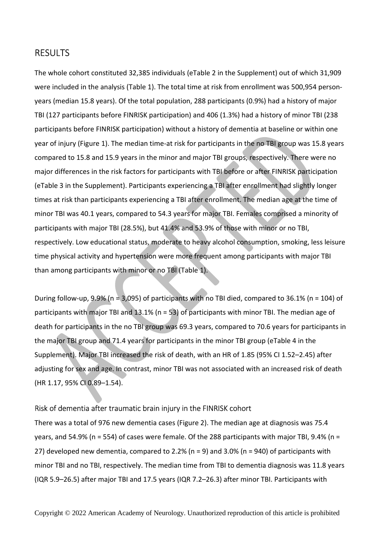# RESULTS

The whole cohort constituted 32,385 individuals (eTable 2 in the Supplement) out of which 31,909 were included in the analysis (Table 1). The total time at risk from enrollment was 500,954 personyears (median 15.8 years). Of the total population, 288 participants (0.9%) had a history of major TBI (127 participants before FINRISK participation) and 406 (1.3%) had a history of minor TBI (238 participants before FINRISK participation) without a history of dementia at baseline or within one year of injury (Figure 1). The median time-at risk for participants in the no TBI group was 15.8 years compared to 15.8 and 15.9 years in the minor and major TBI groups, respectively. There were no major differences in the risk factors for participants with TBI before or after FINRISK participation (eTable 3 in the Supplement). Participants experiencing a TBI after enrollment had slightly longer times at risk than participants experiencing a TBI after enrollment. The median age at the time of minor TBI was 40.1 years, compared to 54.3 years for major TBI. Females comprised a minority of participants with major TBI (28.5%), but 41.4% and 53.9% of those with minor or no TBI, respectively. Low educational status, moderate to heavy alcohol consumption, smoking, less leisure time physical activity and hypertension were more frequent among participants with major TBI than among participants with minor or no TBI (Table 1).

During follow-up, 9.9% (n = 3,095) of participants with no TBI died, compared to 36.1% (n = 104) of participants with major TBI and 13.1% (n = 53) of participants with minor TBI. The median age of death for participants in the no TBI group was 69.3 years, compared to 70.6 years for participants in the major TBI group and 71.4 years for participants in the minor TBI group (eTable 4 in the Supplement). Major TBI increased the risk of death, with an HR of 1.85 (95% CI 1.52–2.45) after adjusting for sex and age. In contrast, minor TBI was not associated with an increased risk of death (HR 1.17, 95% CI 0.89–1.54).

## Risk of dementia after traumatic brain injury in the FINRISK cohort

There was a total of 976 new dementia cases (Figure 2). The median age at diagnosis was 75.4 years, and 54.9% (n = 554) of cases were female. Of the 288 participants with major TBI, 9.4% (n = 27) developed new dementia, compared to 2.2% (n = 9) and 3.0% (n = 940) of participants with minor TBI and no TBI, respectively. The median time from TBI to dementia diagnosis was 11.8 years (IQR 5.9–26.5) after major TBI and 17.5 years (IQR 7.2–26.3) after minor TBI. Participants with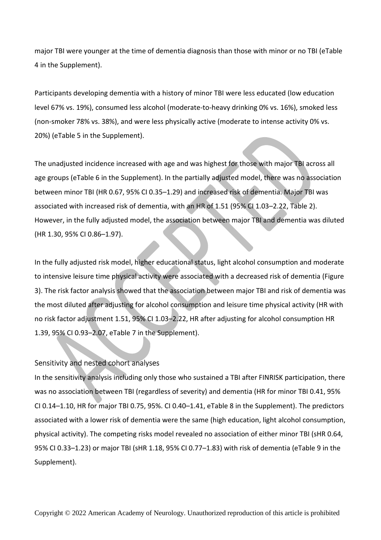major TBI were younger at the time of dementia diagnosis than those with minor or no TBI (eTable 4 in the Supplement).

Participants developing dementia with a history of minor TBI were less educated (low education level 67% vs. 19%), consumed less alcohol (moderate-to-heavy drinking 0% vs. 16%), smoked less (non-smoker 78% vs. 38%), and were less physically active (moderate to intense activity 0% vs. 20%) (eTable 5 in the Supplement).

The unadjusted incidence increased with age and was highest for those with major TBI across all age groups (eTable 6 in the Supplement). In the partially adjusted model, there was no association between minor TBI (HR 0.67, 95% CI 0.35–1.29) and increased risk of dementia. Major TBI was associated with increased risk of dementia, with an HR of 1.51 (95% CI 1.03–2.22, Table 2). However, in the fully adjusted model, the association between major TBI and dementia was diluted (HR 1.30, 95% CI 0.86–1.97).

In the fully adjusted risk model, higher educational status, light alcohol consumption and moderate to intensive leisure time physical activity were associated with a decreased risk of dementia (Figure 3). The risk factor analysis showed that the association between major TBI and risk of dementia was the most diluted after adjusting for alcohol consumption and leisure time physical activity (HR with no risk factor adjustment 1.51, 95% CI 1.03–2.22, HR after adjusting for alcohol consumption HR 1.39, 95% CI 0.93–2.07, eTable 7 in the Supplement).

## Sensitivity and nested cohort analyses

In the sensitivity analysis including only those who sustained a TBI after FINRISK participation, there was no association between TBI (regardless of severity) and dementia (HR for minor TBI 0.41, 95% CI 0.14–1.10, HR for major TBI 0.75, 95%. CI 0.40–1.41, eTable 8 in the Supplement). The predictors associated with a lower risk of dementia were the same (high education, light alcohol consumption, physical activity). The competing risks model revealed no association of either minor TBI (sHR 0.64, 95% CI 0.33–1.23) or major TBI (sHR 1.18, 95% CI 0.77–1.83) with risk of dementia (eTable 9 in the Supplement).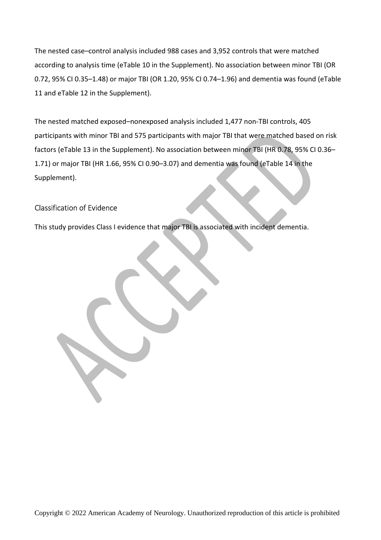The nested case–control analysis included 988 cases and 3,952 controls that were matched according to analysis time (eTable 10 in the Supplement). No association between minor TBI (OR 0.72, 95% CI 0.35–1.48) or major TBI (OR 1.20, 95% CI 0.74–1.96) and dementia was found (eTable 11 and eTable 12 in the Supplement).

The nested matched exposed–nonexposed analysis included 1,477 non-TBI controls, 405 participants with minor TBI and 575 participants with major TBI that were matched based on risk factors (eTable 13 in the Supplement). No association between minor TBI (HR 0.78, 95% CI 0.36– 1.71) or major TBI (HR 1.66, 95% CI 0.90–3.07) and dementia was found (eTable 14 in the Supplement).

# Classification of Evidence

This study provides Class I evidence that major TBI is associated with incident dementia.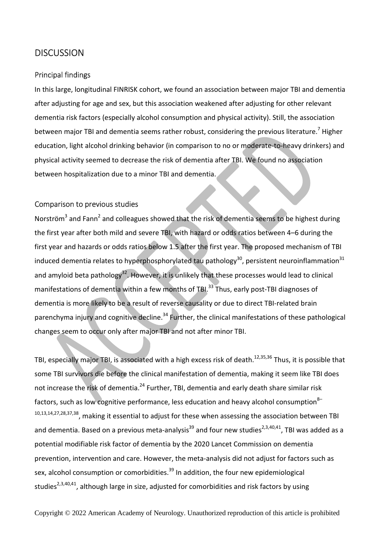# **DISCUSSION**

### Principal findings

In this large, longitudinal FINRISK cohort, we found an association between major TBI and dementia after adjusting for age and sex, but this association weakened after adjusting for other relevant dementia risk factors (especially alcohol consumption and physical activity). Still, the association between major TBI and dementia seems rather robust, considering the previous literature.<sup>7</sup> Higher education, light alcohol drinking behavior (in comparison to no or moderate-to-heavy drinkers) and physical activity seemed to decrease the risk of dementia after TBI. We found no association between hospitalization due to a minor TBI and dementia.

### Comparison to previous studies

Norström<sup>3</sup> and Fann<sup>2</sup> and colleagues showed that the risk of dementia seems to be highest during the first year after both mild and severe TBI, with hazard or odds ratios between 4–6 during the first year and hazards or odds ratios below 1.5 after the first year. The proposed mechanism of TBI induced dementia relates to hyperphosphorylated tau pathology<sup>30</sup>, persistent neuroinflammation<sup>31</sup> and amyloid beta pathology<sup>32</sup>. However, it is unlikely that these processes would lead to clinical manifestations of dementia within a few months of TBI.<sup>33</sup> Thus, early post-TBI diagnoses of dementia is more likely to be a result of reverse causality or due to direct TBI-related brain parenchyma injury and cognitive decline.<sup>34</sup> Further, the clinical manifestations of these pathological changes seem to occur only after major TBI and not after minor TBI.

TBI, especially major TBI, is associated with a high excess risk of death.<sup>12,35,36</sup> Thus, it is possible that some TBI survivors die before the clinical manifestation of dementia, making it seem like TBI does not increase the risk of dementia.<sup>24</sup> Further, TBI, dementia and early death share similar risk factors, such as low cognitive performance, less education and heavy alcohol consumption<sup>8–</sup> 10,13,14,27,28,37,38, making it essential to adjust for these when assessing the association between TBI and dementia. Based on a previous meta-analysis<sup>39</sup> and four new studies<sup>2,3,40,41</sup>, TBI was added as a potential modifiable risk factor of dementia by the 2020 Lancet Commission on dementia prevention, intervention and care. However, the meta-analysis did not adjust for factors such as sex, alcohol consumption or comorbidities.<sup>39</sup> In addition, the four new epidemiological studies<sup>2,3,40,41</sup>, although large in size, adjusted for comorbidities and risk factors by using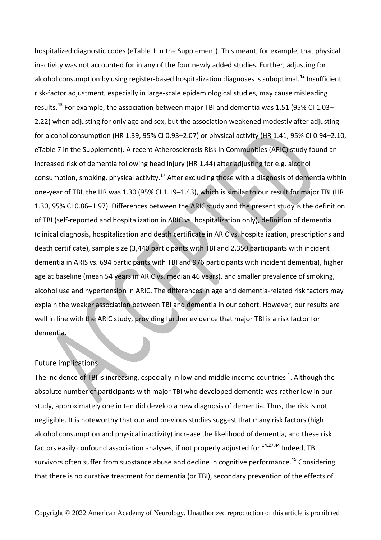hospitalized diagnostic codes (eTable 1 in the Supplement). This meant, for example, that physical inactivity was not accounted for in any of the four newly added studies. Further, adjusting for alcohol consumption by using register-based hospitalization diagnoses is suboptimal.<sup>42</sup> Insufficient risk-factor adjustment, especially in large-scale epidemiological studies, may cause misleading results.<sup>43</sup> For example, the association between major TBI and dementia was 1.51 (95% CI 1.03– 2.22) when adjusting for only age and sex, but the association weakened modestly after adjusting for alcohol consumption (HR 1.39, 95% CI 0.93–2.07) or physical activity (HR 1.41, 95% CI 0.94–2.10, eTable 7 in the Supplement). A recent Atherosclerosis Risk in Communities (ARIC) study found an increased risk of dementia following head injury (HR 1.44) after adjusting for e.g. alcohol consumption, smoking, physical activity.<sup>17</sup> After excluding those with a diagnosis of dementia within one-year of TBI, the HR was 1.30 (95% CI 1.19–1.43), which is similar to our result for major TBI (HR 1.30, 95% CI 0.86–1.97). Differences between the ARIC study and the present study is the definition of TBI (self-reported and hospitalization in ARIC vs. hospitalization only), definition of dementia (clinical diagnosis, hospitalization and death certificate in ARIC vs. hospitalization, prescriptions and death certificate), sample size (3,440 participants with TBI and 2,350 participants with incident dementia in ARIS vs. 694 participants with TBI and 976 participants with incident dementia), higher age at baseline (mean 54 years in ARIC vs. median 46 years), and smaller prevalence of smoking, alcohol use and hypertension in ARIC. The differences in age and dementia-related risk factors may explain the weaker association between TBI and dementia in our cohort. However, our results are well in line with the ARIC study, providing further evidence that major TBI is a risk factor for dementia.

## Future implications

The incidence of TBI is increasing, especially in low-and-middle income countries  $^{1}$ . Although the absolute number of participants with major TBI who developed dementia was rather low in our study, approximately one in ten did develop a new diagnosis of dementia. Thus, the risk is not negligible. It is noteworthy that our and previous studies suggest that many risk factors (high alcohol consumption and physical inactivity) increase the likelihood of dementia, and these risk factors easily confound association analyses, if not properly adjusted for.  $14,27,44$  Indeed, TBI survivors often suffer from substance abuse and decline in cognitive performance.<sup>45</sup> Considering that there is no curative treatment for dementia (or TBI), secondary prevention of the effects of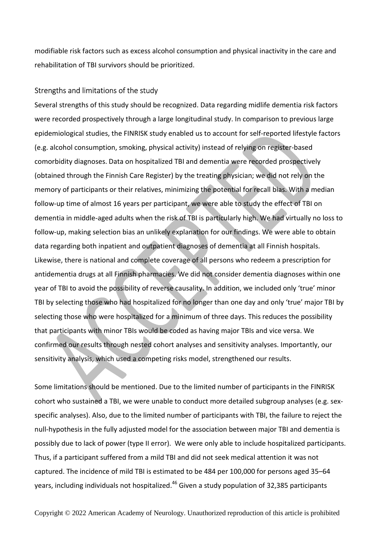modifiable risk factors such as excess alcohol consumption and physical inactivity in the care and rehabilitation of TBI survivors should be prioritized.

## Strengths and limitations of the study

Several strengths of this study should be recognized. Data regarding midlife dementia risk factors were recorded prospectively through a large longitudinal study. In comparison to previous large epidemiological studies, the FINRISK study enabled us to account for self-reported lifestyle factors (e.g. alcohol consumption, smoking, physical activity) instead of relying on register-based comorbidity diagnoses. Data on hospitalized TBI and dementia were recorded prospectively (obtained through the Finnish Care Register) by the treating physician; we did not rely on the memory of participants or their relatives, minimizing the potential for recall bias. With a median follow-up time of almost 16 years per participant, we were able to study the effect of TBI on dementia in middle-aged adults when the risk of TBI is particularly high. We had virtually no loss to follow-up, making selection bias an unlikely explanation for our findings. We were able to obtain data regarding both inpatient and outpatient diagnoses of dementia at all Finnish hospitals. Likewise, there is national and complete coverage of all persons who redeem a prescription for antidementia drugs at all Finnish pharmacies. We did not consider dementia diagnoses within one year of TBI to avoid the possibility of reverse causality. In addition, we included only 'true' minor TBI by selecting those who had hospitalized for no longer than one day and only 'true' major TBI by selecting those who were hospitalized for a minimum of three days. This reduces the possibility that participants with minor TBIs would be coded as having major TBIs and vice versa. We confirmed our results through nested cohort analyses and sensitivity analyses. Importantly, our sensitivity analysis, which used a competing risks model, strengthened our results.

Some limitations should be mentioned. Due to the limited number of participants in the FINRISK cohort who sustained a TBI, we were unable to conduct more detailed subgroup analyses (e.g. sexspecific analyses). Also, due to the limited number of participants with TBI, the failure to reject the null-hypothesis in the fully adjusted model for the association between major TBI and dementia is possibly due to lack of power (type II error). We were only able to include hospitalized participants. Thus, if a participant suffered from a mild TBI and did not seek medical attention it was not captured. The incidence of mild TBI is estimated to be 484 per 100,000 for persons aged 35–64 years, including individuals not hospitalized.<sup>46</sup> Given a study population of 32,385 participants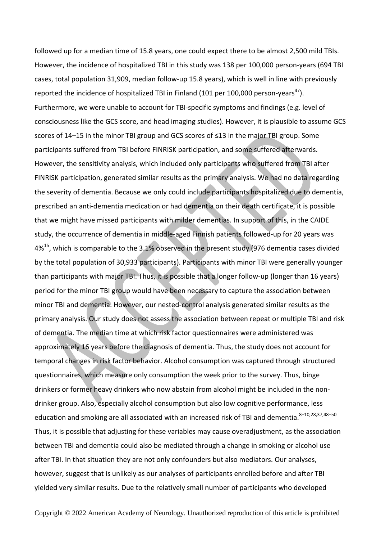followed up for a median time of 15.8 years, one could expect there to be almost 2,500 mild TBIs. However, the incidence of hospitalized TBI in this study was 138 per 100,000 person-years (694 TBI cases, total population 31,909, median follow-up 15.8 years), which is well in line with previously reported the incidence of hospitalized TBI in Finland (101 per 100,000 person-years<sup>47</sup>). Furthermore, we were unable to account for TBI-specific symptoms and findings (e.g. level of consciousness like the GCS score, and head imaging studies). However, it is plausible to assume GCS scores of 14–15 in the minor TBI group and GCS scores of ≤13 in the major TBI group. Some participants suffered from TBI before FINRISK participation, and some suffered afterwards. However, the sensitivity analysis, which included only participants who suffered from TBI after FINRISK participation, generated similar results as the primary analysis. We had no data regarding the severity of dementia. Because we only could include participants hospitalized due to dementia, prescribed an anti-dementia medication or had dementia on their death certificate, it is possible that we might have missed participants with milder dementias. In support of this, in the CAIDE study, the occurrence of dementia in middle-aged Finnish patients followed-up for 20 years was  $4\%$ <sup>15</sup>, which is comparable to the 3.1% observed in the present study (976 dementia cases divided by the total population of 30,933 participants). Participants with minor TBI were generally younger than participants with major TBI. Thus, it is possible that a longer follow-up (longer than 16 years) period for the minor TBI group would have been necessary to capture the association between minor TBI and dementia. However, our nested-control analysis generated similar results as the primary analysis. Our study does not assess the association between repeat or multiple TBI and risk of dementia. The median time at which risk factor questionnaires were administered was approximately 16 years before the diagnosis of dementia. Thus, the study does not account for temporal changes in risk factor behavior. Alcohol consumption was captured through structured questionnaires, which measure only consumption the week prior to the survey. Thus, binge drinkers or former heavy drinkers who now abstain from alcohol might be included in the nondrinker group. Also, especially alcohol consumption but also low cognitive performance, less education and smoking are all associated with an increased risk of TBI and dementia. 8-10,28,37,48-50 Thus, it is possible that adjusting for these variables may cause overadjustment, as the association between TBI and dementia could also be mediated through a change in smoking or alcohol use after TBI. In that situation they are not only confounders but also mediators. Our analyses, however, suggest that is unlikely as our analyses of participants enrolled before and after TBI yielded very similar results. Due to the relatively small number of participants who developed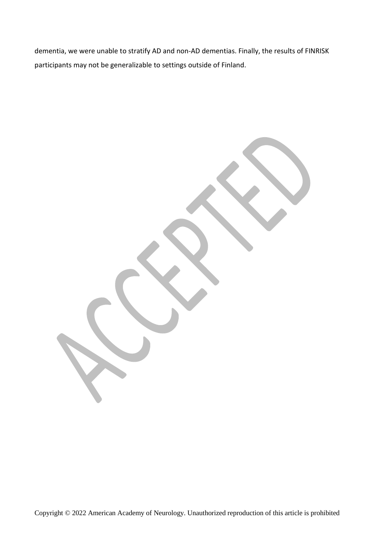dementia, we were unable to stratify AD and non-AD dementias. Finally, the results of FINRISK participants may not be generalizable to settings outside of Finland.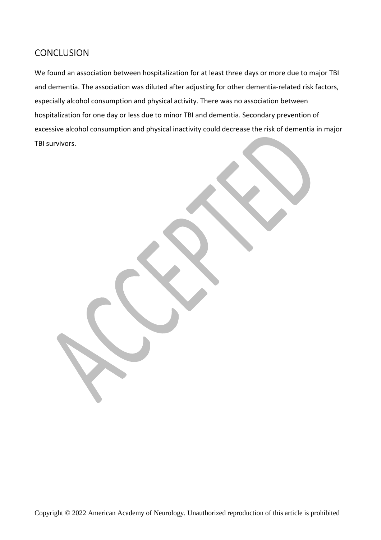# **CONCLUSION**

We found an association between hospitalization for at least three days or more due to major TBI and dementia. The association was diluted after adjusting for other dementia-related risk factors, especially alcohol consumption and physical activity. There was no association between hospitalization for one day or less due to minor TBI and dementia. Secondary prevention of excessive alcohol consumption and physical inactivity could decrease the risk of dementia in major TBI survivors.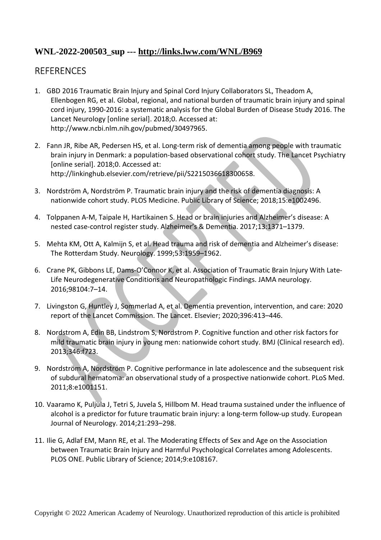# **WNL-2022-200503\_sup --- http://links.lww.com/WNL/B969**

# **REFERENCES**

- 1. GBD 2016 Traumatic Brain Injury and Spinal Cord Injury Collaborators SL, Theadom A, Ellenbogen RG, et al. Global, regional, and national burden of traumatic brain injury and spinal cord injury, 1990-2016: a systematic analysis for the Global Burden of Disease Study 2016. The Lancet Neurology [online serial]. 2018;0. Accessed at: http://www.ncbi.nlm.nih.gov/pubmed/30497965.
- 2. Fann JR, Ribe AR, Pedersen HS, et al. Long-term risk of dementia among people with traumatic brain injury in Denmark: a population-based observational cohort study. The Lancet Psychiatry [online serial]. 2018;0. Accessed at: http://linkinghub.elsevier.com/retrieve/pii/S2215036618300658.
- 3. Nordström A, Nordström P. Traumatic brain injury and the risk of dementia diagnosis: A nationwide cohort study. PLOS Medicine. Public Library of Science; 2018;15:e1002496.
- 4. Tolppanen A-M, Taipale H, Hartikainen S. Head or brain injuries and Alzheimer's disease: A nested case-control register study. Alzheimer's & Dementia. 2017;13:1371–1379.
- 5. Mehta KM, Ott A, Kalmijn S, et al. Head trauma and risk of dementia and Alzheimer's disease: The Rotterdam Study. Neurology. 1999;53:1959–1962.
- 6. Crane PK, Gibbons LE, Dams-O'Connor K, et al. Association of Traumatic Brain Injury With Late-Life Neurodegenerative Conditions and Neuropathologic Findings. JAMA neurology. 2016;98104:7–14.
- 7. Livingston G, Huntley J, Sommerlad A, et al. Dementia prevention, intervention, and care: 2020 report of the Lancet Commission. The Lancet. Elsevier; 2020;396:413–446.
- 8. Nordstrom A, Edin BB, Lindstrom S, Nordstrom P. Cognitive function and other risk factors for mild traumatic brain injury in young men: nationwide cohort study. BMJ (Clinical research ed). 2013;346:f723.
- 9. Nordström A, Nordström P. Cognitive performance in late adolescence and the subsequent risk of subdural hematoma: an observational study of a prospective nationwide cohort. PLoS Med. 2011;8:e1001151.
- 10. Vaaramo K, Puljula J, Tetri S, Juvela S, Hillbom M. Head trauma sustained under the influence of alcohol is a predictor for future traumatic brain injury: a long-term follow-up study. European Journal of Neurology. 2014;21:293–298.
- 11. Ilie G, Adlaf EM, Mann RE, et al. The Moderating Effects of Sex and Age on the Association between Traumatic Brain Injury and Harmful Psychological Correlates among Adolescents. PLOS ONE. Public Library of Science; 2014;9:e108167.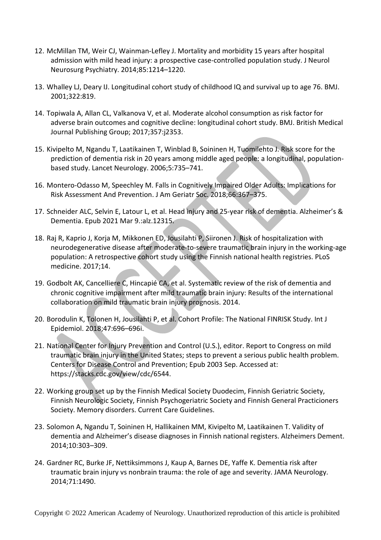- 12. McMillan TM, Weir CJ, Wainman-Lefley J. Mortality and morbidity 15 years after hospital admission with mild head injury: a prospective case-controlled population study. J Neurol Neurosurg Psychiatry. 2014;85:1214–1220.
- 13. Whalley LJ, Deary IJ. Longitudinal cohort study of childhood IQ and survival up to age 76. BMJ. 2001;322:819.
- 14. Topiwala A, Allan CL, Valkanova V, et al. Moderate alcohol consumption as risk factor for adverse brain outcomes and cognitive decline: longitudinal cohort study. BMJ. British Medical Journal Publishing Group; 2017;357:j2353.
- 15. Kivipelto M, Ngandu T, Laatikainen T, Winblad B, Soininen H, Tuomilehto J. Risk score for the prediction of dementia risk in 20 years among middle aged people: a longitudinal, populationbased study. Lancet Neurology. 2006;5:735–741.
- 16. Montero-Odasso M, Speechley M. Falls in Cognitively Impaired Older Adults: Implications for Risk Assessment And Prevention. J Am Geriatr Soc. 2018;66:367–375.
- 17. Schneider ALC, Selvin E, Latour L, et al. Head injury and 25-year risk of dementia. Alzheimer's & Dementia. Epub 2021 Mar 9.:alz.12315.
- 18. Raj R, Kaprio J, Korja M, Mikkonen ED, Jousilahti P, Siironen J. Risk of hospitalization with neurodegenerative disease after moderate-to-severe traumatic brain injury in the working-age population: A retrospective cohort study using the Finnish national health registries. PLoS medicine. 2017;14.
- 19. Godbolt AK, Cancelliere C, Hincapié CA, et al. Systematic review of the risk of dementia and chronic cognitive impairment after mild traumatic brain injury: Results of the international collaboration on mild traumatic brain injury prognosis. 2014.
- 20. Borodulin K, Tolonen H, Jousilahti P, et al. Cohort Profile: The National FINRISK Study. Int J Epidemiol. 2018;47:696–696i.
- 21. National Center for Injury Prevention and Control (U.S.), editor. Report to Congress on mild traumatic brain injury in the United States; steps to prevent a serious public health problem. Centers for Disease Control and Prevention; Epub 2003 Sep. Accessed at: https://stacks.cdc.gov/view/cdc/6544.
- 22. Working group set up by the Finnish Medical Society Duodecim, Finnish Geriatric Society, Finnish Neurologic Society, Finnish Psychogeriatric Society and Finnish General Practicioners Society. Memory disorders. Current Care Guidelines.
- 23. Solomon A, Ngandu T, Soininen H, Hallikainen MM, Kivipelto M, Laatikainen T. Validity of dementia and Alzheimer's disease diagnoses in Finnish national registers. Alzheimers Dement. 2014;10:303–309.
- 24. Gardner RC, Burke JF, Nettiksimmons J, Kaup A, Barnes DE, Yaffe K. Dementia risk after traumatic brain injury vs nonbrain trauma: the role of age and severity. JAMA Neurology. 2014;71:1490.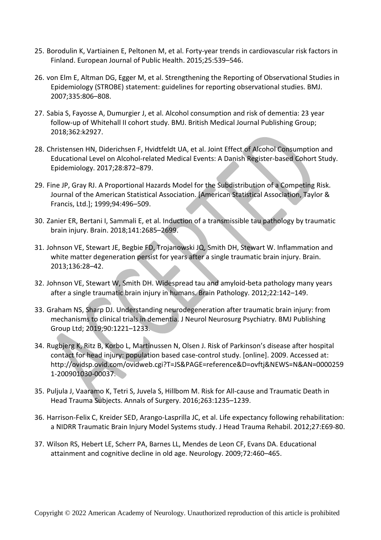- 25. Borodulin K, Vartiainen E, Peltonen M, et al. Forty-year trends in cardiovascular risk factors in Finland. European Journal of Public Health. 2015;25:539–546.
- 26. von Elm E, Altman DG, Egger M, et al. Strengthening the Reporting of Observational Studies in Epidemiology (STROBE) statement: guidelines for reporting observational studies. BMJ. 2007;335:806–808.
- 27. Sabia S, Fayosse A, Dumurgier J, et al. Alcohol consumption and risk of dementia: 23 year follow-up of Whitehall II cohort study. BMJ. British Medical Journal Publishing Group; 2018;362:k2927.
- 28. Christensen HN, Diderichsen F, Hvidtfeldt UA, et al. Joint Effect of Alcohol Consumption and Educational Level on Alcohol-related Medical Events: A Danish Register-based Cohort Study. Epidemiology. 2017;28:872–879.
- 29. Fine JP, Gray RJ. A Proportional Hazards Model for the Subdistribution of a Competing Risk. Journal of the American Statistical Association. [American Statistical Association, Taylor & Francis, Ltd.]; 1999;94:496–509.
- 30. Zanier ER, Bertani I, Sammali E, et al. Induction of a transmissible tau pathology by traumatic brain injury. Brain. 2018;141:2685–2699.
- 31. Johnson VE, Stewart JE, Begbie FD, Trojanowski JQ, Smith DH, Stewart W. Inflammation and white matter degeneration persist for years after a single traumatic brain injury. Brain. 2013;136:28–42.
- 32. Johnson VE, Stewart W, Smith DH. Widespread tau and amyloid-beta pathology many years after a single traumatic brain injury in humans. Brain Pathology. 2012;22:142–149.
- 33. Graham NS, Sharp DJ. Understanding neurodegeneration after traumatic brain injury: from mechanisms to clinical trials in dementia. J Neurol Neurosurg Psychiatry. BMJ Publishing Group Ltd; 2019;90:1221–1233.
- 34. Rugbjerg K, Ritz B, Korbo L, Martinussen N, Olsen J. Risk of Parkinson's disease after hospital contact for head injury: population based case-control study. [online]. 2009. Accessed at: http://ovidsp.ovid.com/ovidweb.cgi?T=JS&PAGE=reference&D=ovftj&NEWS=N&AN=0000259 1-200901030-00037.
- 35. Puljula J, Vaaramo K, Tetri S, Juvela S, Hillbom M. Risk for All-cause and Traumatic Death in Head Trauma Subjects. Annals of Surgery. 2016;263:1235–1239.
- 36. Harrison-Felix C, Kreider SED, Arango-Lasprilla JC, et al. Life expectancy following rehabilitation: a NIDRR Traumatic Brain Injury Model Systems study. J Head Trauma Rehabil. 2012;27:E69-80.
- 37. Wilson RS, Hebert LE, Scherr PA, Barnes LL, Mendes de Leon CF, Evans DA. Educational attainment and cognitive decline in old age. Neurology. 2009;72:460–465.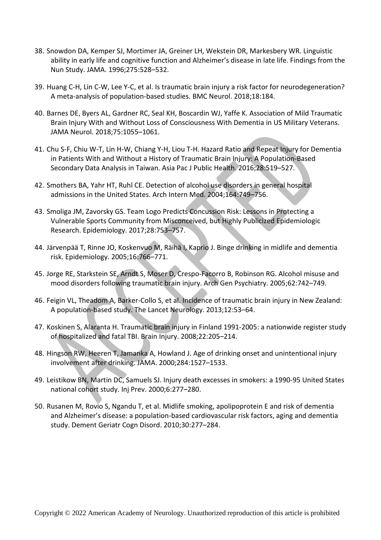- 38. Snowdon DA, Kemper SJ, Mortimer JA, Greiner LH, Wekstein DR, Markesbery WR. Linguistic ability in early life and cognitive function and Alzheimer's disease in late life. Findings from the Nun Study. JAMA. 1996;275:528–532.
- 39. Huang C-H, Lin C-W, Lee Y-C, et al. Is traumatic brain injury a risk factor for neurodegeneration? A meta-analysis of population-based studies. BMC Neurol. 2018;18:184.
- 40. Barnes DE, Byers AL, Gardner RC, Seal KH, Boscardin WJ, Yaffe K. Association of Mild Traumatic Brain Injury With and Without Loss of Consciousness With Dementia in US Military Veterans. JAMA Neurol. 2018;75:1055–1061.
- 41. Chu S-F, Chiu W-T, Lin H-W, Chiang Y-H, Liou T-H. Hazard Ratio and Repeat Injury for Dementia in Patients With and Without a History of Traumatic Brain Injury: A Population-Based Secondary Data Analysis in Taiwan. Asia Pac J Public Health. 2016;28:519–527.
- 42. Smothers BA, Yahr HT, Ruhl CE. Detection of alcohol use disorders in general hospital admissions in the United States. Arch Intern Med. 2004;164:749–756.
- 43. Smoliga JM, Zavorsky GS. Team Logo Predicts Concussion Risk: Lessons in Protecting a Vulnerable Sports Community from Misconceived, but Highly Publicized Epidemiologic Research. Epidemiology. 2017;28:753–757.
- 44. Järvenpää T, Rinne JO, Koskenvuo M, Räihä I, Kaprio J. Binge drinking in midlife and dementia risk. Epidemiology. 2005;16:766–771.
- 45. Jorge RE, Starkstein SE, Arndt S, Moser D, Crespo-Facorro B, Robinson RG. Alcohol misuse and mood disorders following traumatic brain injury. Arch Gen Psychiatry. 2005;62:742–749.
- 46. Feigin VL, Theadom A, Barker-Collo S, et al. Incidence of traumatic brain injury in New Zealand: A population-based study. The Lancet Neurology. 2013;12:53–64.
- 47. Koskinen S, Alaranta H. Traumatic brain injury in Finland 1991-2005: a nationwide register study of hospitalized and fatal TBI. Brain Injury. 2008;22:205–214.
- 48. Hingson RW, Heeren T, Jamanka A, Howland J. Age of drinking onset and unintentional injury involvement after drinking. JAMA. 2000;284:1527–1533.
- 49. Leistikow BN, Martin DC, Samuels SJ. Injury death excesses in smokers: a 1990-95 United States national cohort study. Inj Prev. 2000;6:277–280.
- 50. Rusanen M, Rovio S, Ngandu T, et al. Midlife smoking, apolipoprotein E and risk of dementia and Alzheimer's disease: a population-based cardiovascular risk factors, aging and dementia study. Dement Geriatr Cogn Disord. 2010;30:277–284.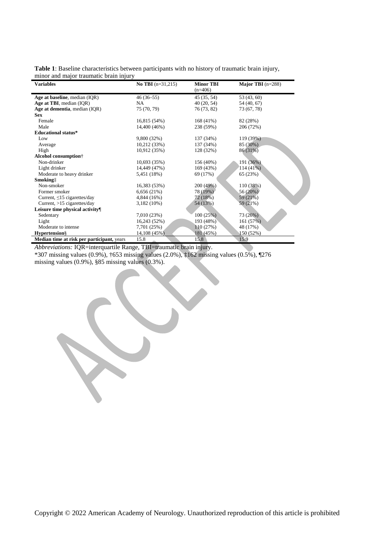| Table 1: Baseline characteristics between participants with no history of traumatic brain injury, |  |  |  |
|---------------------------------------------------------------------------------------------------|--|--|--|
| minor and major traumatic brain injury                                                            |  |  |  |

| <b>Variables</b>                                  | <b>No TBI</b> $(n=31,215)$ | <b>Minor TBI</b><br>$(n=406)$ | Major TBI $(n=288)$ |
|---------------------------------------------------|----------------------------|-------------------------------|---------------------|
| Age at baseline, median (IQR)                     | $46(36-55)$                | 45 (35, 54)                   | 53 (43, 60)         |
| Age at TBI, median (IQR)                          | NA.                        | 40 (20, 54)                   | 54 (40, 67)         |
| Age at dementia, median (IQR)                     | 75 (70, 79)                | 76 (73, 82)                   | 73 (67, 78)         |
| <b>Sex</b>                                        |                            |                               |                     |
| Female                                            | 16,815 (54%)               | 168 (41%)                     | 82 (28%)            |
| Male                                              | 14,400 (46%)               | 238 (59%)                     | 206 (72%)           |
| <b>Educational status*</b>                        |                            |                               |                     |
| Low                                               | 9,800 (32%)                | 137 (34%)                     | 119 (39%)           |
| Average                                           | 10,212 (33%)               | 137 (34%)                     | 85 (30%)            |
| High                                              | 10,912 (35%)               | 128 (32%)                     | 86 (31%)            |
| Alcohol consumption <sup>†</sup>                  |                            |                               |                     |
| Non-drinker                                       | 10,693 (35%)               | 156 (40%)                     | 191 (36%)           |
| Light drinker                                     | 14,449 (47%)               | 169 (43%)                     | $114(41\%)$         |
| Moderate to heavy drinker                         | 5,451 (18%)                | 69 (17%)                      | 65 (23%)            |
| Smokingt                                          |                            |                               |                     |
| Non-smoker                                        | 16,383 (53%)               | 200 (49%)                     | 110 (38%)           |
| Former smoker                                     | 6,656(21%)                 | 78 (19%)                      | 56 (20%)            |
| Current, $\leq 15$ cigarettes/day                 | 4,844 (16%)                | 72 (18%)                      | 59(21%)             |
| Current, $>15$ cigarettes/day                     | 3,182 (10%)                | 54 (13%)                      | 59 (21%)            |
| Leisure time physical activity                    |                            |                               |                     |
| Sedentary                                         | 7,010 (23%)                | 100(25%)                      | 73(26%)             |
| Light                                             | 16,243 (52%)               | 193 (48%)                     | 161 (57%)           |
| Moderate to intense                               | 7,701 (25%)                | 110(27%)                      | 48 (17%)            |
| <b>Hypertension</b> §                             | 14,108 (45%)               | 181 (45%)                     | 150 (52%)           |
| <b>Median time at risk per participant, years</b> | 15.8                       | 15.8                          | 15.9                |

*Abbreviations:* IQR=interquartile Range, TBI=traumatic brain injury.

\*307 missing values (0.9%), †653 missing values (2.0%), ‡162 missing values (0.5%), ¶276 missing values (0.9%), §85 missing values (0.3%).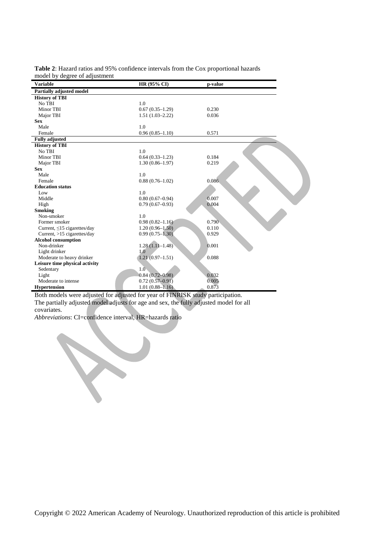|                               | <b>Table 2:</b> Hazard ratios and 95% confidence intervals from the Cox proportional hazards |
|-------------------------------|----------------------------------------------------------------------------------------------|
| model by degree of adjustment |                                                                                              |

| Variable                          | HR (95% CI)         | p-value |
|-----------------------------------|---------------------|---------|
| <b>Partially adjusted model</b>   |                     |         |
| <b>History of TBI</b>             |                     |         |
| No TBI                            | 1.0                 |         |
| Minor TBI                         | $0.67(0.35-1.29)$   | 0.230   |
| Major TBI                         | $1.51(1.03-2.22)$   | 0.036   |
| <b>Sex</b>                        |                     |         |
| Male                              | 1.0                 |         |
| Female                            | $0.96(0.85 - 1.10)$ | 0.571   |
| <b>Fully adjusted</b>             |                     |         |
| <b>History of TBI</b>             |                     |         |
| No TBI                            | 1.0                 |         |
| Minor TBI                         | $0.64(0.33-1.23)$   | 0.184   |
| Major TBI                         | $1.30(0.86 - 1.97)$ | 0.219   |
| <b>Sex</b>                        |                     |         |
| Male                              | 1.0                 |         |
| Female                            | $0.88(0.76 - 1.02)$ | 0.086   |
| <b>Education status</b>           |                     |         |
| Low                               | 1.0                 |         |
| Middle                            | $0.80(0.67-0.94)$   | 0.007   |
| High                              | $0.79(0.67-0.93)$   | 0.004   |
| <b>Smoking</b>                    |                     |         |
| Non-smoker                        | 1.0                 |         |
| Former smoker                     | $0.98(0.82 - 1.16)$ | 0.790   |
| Current, $\leq 15$ cigarettes/day | $1.20(0.96-1.50)$   | 0.110   |
| Current, $>15$ cigarettes/day     | $0.99(0.75 - 1.30)$ | 0.929   |
| <b>Alcohol consumption</b>        |                     |         |
| Non-drinker                       | $1.28(1.11-1.48)$   | 0.001   |
| Light drinker                     | 1.0                 |         |
| Moderate to heavy drinker         | $1.21(0.97-1.51)$   | 0.088   |
| Leisure time physical activity    |                     |         |
| Sedentary                         | 1.0 <sub>1</sub>    |         |
| Light                             | $0.84(0.72 - 0.98)$ | 0.032   |
| Moderate to intense               | $0.72(0.57-0.91)$   | 0.005   |
| <b>Hypertension</b>               | $1.01(0.88 - 1.16)$ | 0.873   |

Both models were adjusted for adjusted for year of FINRISK study participation. The partially adjusted model adjusts for age and sex, the fully adjusted model for all

covariates.

*Abbreviations*: CI=confidence interval, HR=hazards ratio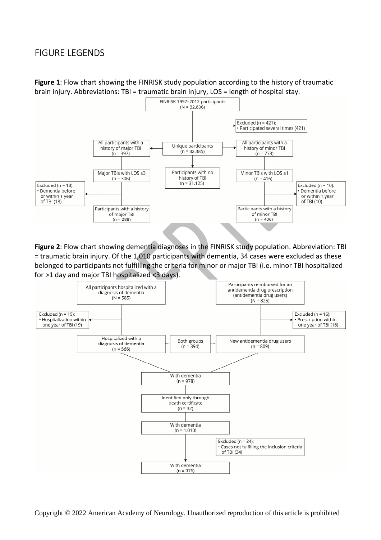# FIGURE LEGENDS

**Figure 1**: Flow chart showing the FINRISK study population according to the history of traumatic brain injury. Abbreviations: TBI = traumatic brain injury, LOS = length of hospital stay.



**Figure 2**: Flow chart showing dementia diagnoses in the FINRISK study population. Abbreviation: TBI = traumatic brain injury. Of the 1,010 participants with dementia, 34 cases were excluded as these belonged to participants not fulfilling the criteria for minor or major TBI (i.e. minor TBI hospitalized for >1 day and major TBI hospitalized <3 days).

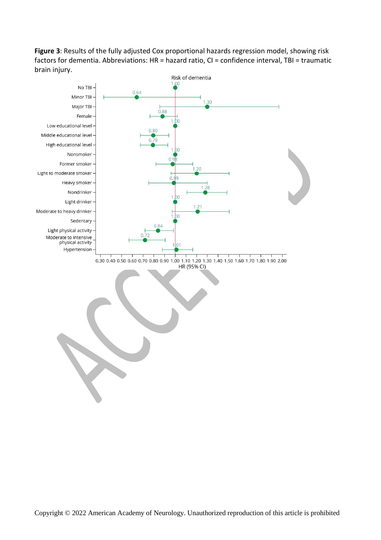**Figure 3**: Results of the fully adjusted Cox proportional hazards regression model, showing risk factors for dementia. Abbreviations: HR = hazard ratio, CI = confidence interval, TBI = traumatic brain injury.